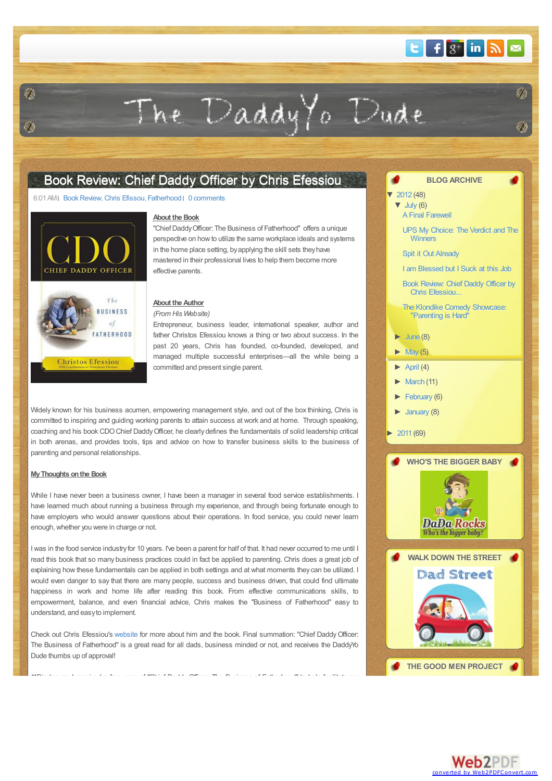## $E$  f  $g^+$  in  $N \approx$

 $\hat{f}$ 

# <span id="page-0-0"></span> $\mathcal{L}$

The Daddy Yo Dude

### Book Review: Chief Daddy Officer by Chris [Efessiou](#page-0-0)

#### 6:01 AM Book Review, Chris [Efissou](http://thedaddyyodude.blogspot.com/search/label/Chris Efissou), [Fatherhood](http://thedaddyyodude.blogspot.com/search/label/Fatherhood) | 0 [comments](#page-1-0)





#### **About the Book**

"Chief Daddy Officer: The Business of Fatherhood" offers a unique perspective on howto utilize the same workplace ideals and systems in the home place setting, byapplying the skill sets theyhave mastered in their professional lives to help them become more effective parents.

#### **About the Author**

*(From His Website)*

Entrepreneur, business leader, international speaker, author and father Christos Efessiou knows a thing or two about success. In the past 20 years, Chris has founded, co-founded, developed, and managed multiple successful enterprises—all the while being a committed and present single parent.

Widely known for his business acumen, empowering management style, and out of the box thinking, Chris is committed to inspiring and guiding working parents to attain success at work and at home. Through speaking, coaching and his book CDOChief DaddyOfficer, he clearlydefines the fundamentals of solid leadership critical in both arenas, and provides tools, tips and advice on how to transfer business skills to the business of parenting and personal relationships.

#### **MyThoughts onthe Book**

While I have never been a business owner. I have been a manager in several food service establishments. I have learned much about running a business through my experience, and through being fortunate enough to have employers who would answer questions about their operations. In food service, you could never learn enough, whether you were in charge or not.

I was in the food service industryfor 10 years. I've been a parent for half of that. It had never occurred to me until I read this book that so many business practices could in fact be applied to parenting. Chris does a great job of explaining how these fundamentals can be applied in both settings and at what moments they can be utilized. I would even danger to say that there are many people, success and business driven, that could find ultimate happiness in work and home life after reading this book. From effective communications skills, to empowerment, balance, and even financial advice, Chris makes the "Business of Fatherhood" easy to understand, and easyto implement.

Check out Chris Efessiou's [website](http://www.chrisefessiou.com/) for more about him and the book. Final summation: "Chief DaddyOfficer: The Business of Fatherhood" is a great read for all dads, business minded or not, and receives the DaddyYo Dude thumbs up of approval!

*\*\*Disclosure: I received a free copy of "Chief Daddy Officer: The Business of Fatherhood" to help facilitate my*

#### **BLOG ARCHIVE**

 $\blacktriangledown$  [2012](http://thedaddyyodude.blogspot.com/search?updated-min=2012-01-01T00:00:00-08:00&updated-max=2013-01-01T00:00:00-08:00&max-results=48) (48)

 $\blacktriangledown$  [July](http://thedaddyyodude.blogspot.com/2012_07_01_archive.html) (6) A Final [Farewell](http://thedaddyyodude.blogspot.com/2012/07/final-farewell.html)

> UPS My [Choice:](http://thedaddyyodude.blogspot.com/2012/07/ups-my-choice-verdict-and-winners.html) The Verdict and The **Winners**

Spit it Out [Already](http://thedaddyyodude.blogspot.com/2012/07/spit-it-out-already.html)

I am [Blessed](http://thedaddyyodude.blogspot.com/2012/07/i-am-blessed-but-i-suck-at-this-job.html) but I Suck at this Job

Book Review: Chief Daddy Officer by Chris [Efessiou...](#page-0-0)

The Klondike Comedy [Showcase:](http://thedaddyyodude.blogspot.com/2012/07/klondike-comedy-showcase-parenting-is.html) "Parenting is Hard"

- $\blacktriangleright$  [June](http://thedaddyyodude.blogspot.com/2012_06_01_archive.html) (8)
- $\blacktriangleright$  [May](http://thedaddyyodude.blogspot.com/2012_05_01_archive.html) (5)

 $\blacktriangleright$  [April](http://thedaddyyodude.blogspot.com/2012_04_01_archive.html) (4)

 $\blacktriangleright$  [March](http://thedaddyyodude.blogspot.com/2012_03_01_archive.html) (11)

[►](javascript:void(0)) [February](http://thedaddyyodude.blogspot.com/2012_02_01_archive.html) (6)

- $\blacktriangleright$  [January](http://thedaddyyodude.blogspot.com/2012_01_01_archive.html) (8)
- [►](javascript:void(0)) [2011](http://thedaddyyodude.blogspot.com/search?updated-min=2011-01-01T00:00:00-08:00&updated-max=2012-01-01T00:00:00-08:00&max-results=50) (69)